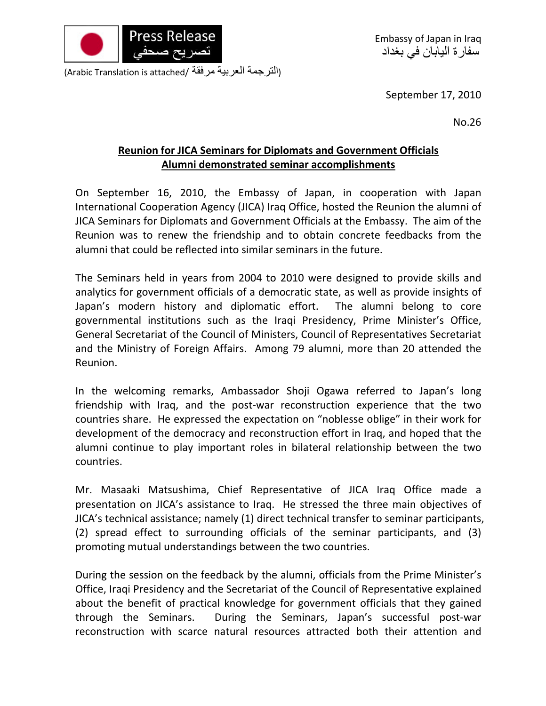

(الترجمة العربية مرفقة /Arabic Translation is attached)

September 17, 2010

No.26

## **Reunion for JICA Seminars for Diplomats and Government Officials Alumni demonstrated seminar accomplishments**

On September 16, 2010, the Embassy of Japan, in cooperation with Japan International Cooperation Agency (JICA) Iraq Office, hosted the Reunion the alumni of JICA Seminars for Diplomats and Government Officials at the Embassy. The aim of the Reunion was to renew the friendship and to obtain concrete feedbacks from the alumni that could be reflected into similar seminars in the future.

The Seminars held in years from 2004 to 2010 were designed to provide skills and analytics for government officials of a democratic state, as well as provide insights of Japan's modern history and diplomatic effort. The alumni belong to core governmental institutions such as the Iraqi Presidency, Prime Minister's Office, General Secretariat of the Council of Ministers, Council of Representatives Secretariat and the Ministry of Foreign Affairs. Among 79 alumni, more than 20 attended the Reunion.

In the welcoming remarks, Ambassador Shoji Ogawa referred to Japan's long friendship with Iraq, and the post-war reconstruction experience that the two countries share. He expressed the expectation on "noblesse oblige" in their work for development of the democracy and reconstruction effort in Iraq, and hoped that the alumni continue to play important roles in bilateral relationship between the two countries.

Mr. Masaaki Matsushima, Chief Representative of JICA Iraq Office made a presentation on JICA's assistance to Iraq. He stressed the three main objectives of JICA's technical assistance; namely (1) direct technical transfer to seminar participants, (2) spread effect to surrounding officials of the seminar participants, and (3) promoting mutual understandings between the two countries.

During the session on the feedback by the alumni, officials from the Prime Minister's Office, Iraqi Presidency and the Secretariat of the Council of Representative explained about the benefit of practical knowledge for government officials that they gained through the Seminars. During the Seminars, Japan's successful post‐war reconstruction with scarce natural resources attracted both their attention and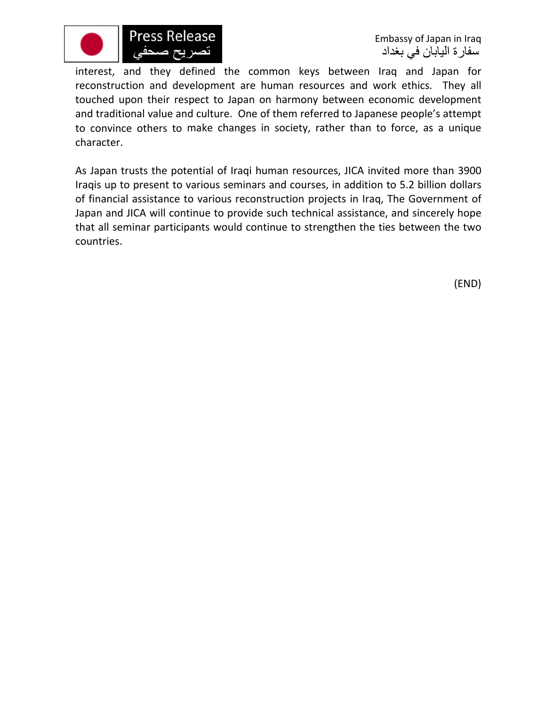

interest, and they defined the common keys between Iraq and Japan for reconstruction and development are human resources and work ethics. They all touched upon their respect to Japan on harmony between economic development and traditional value and culture. One of them referred to Japanese people's attempt to convince others to make changes in society, rather than to force, as a unique character.

As Japan trusts the potential of Iraqi human resources, JICA invited more than 3900 Iraqis up to present to various seminars and courses, in addition to 5.2 billion dollars of financial assistance to various reconstruction projects in Iraq, The Government of Japan and JICA will continue to provide such technical assistance, and sincerely hope that all seminar participants would continue to strengthen the ties between the two countries.

(END)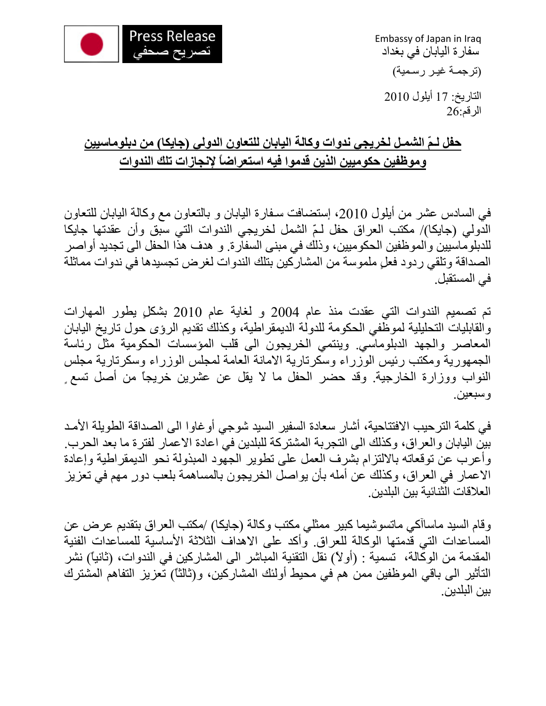

Embassy of Japan in Iraq سفارة اليابان في بغداد

(ترجمـة غيـر رسـمية )

التاريخ: 71 أيلول 2010 الرقم26:

## **حفل لـمّ الشمـل لخريجي ندوات وآالة اليابان للتعاون الدولي (جايكا) من دبلوماسيين وموظفين حكوميين الذين قدموا فيه استعراضاً لإنجازات تلك الندوات**

في السادس عشر من أيلول ،2010 إستضافت سـفارة اليابان و بالتعاون مع وآالة اليابان للتعاون الدولي (جايكا)/ مكتب العراق حفل لـمّ الشمل لخريجي الندوات التي سبق وأن عقدتها جايكا للدبلوماسيين والموظفين الحكوميين، وذلك في مبنى السفارة. و هدف هذا الحفل الى تجديد أواصر الصداقة وتلقي ردود فعلٍ ملموسة من المشاركين بتلك الندوات لغرض تجسيدها في ندوات مماثلة في المستقبل.

تم تصميم الندوات التي عقدت منذ عام 2004 و لغاية عام 2010 بشكلٍ يطور المهارات والقابليات التحليلية لموظفي الحكومة للدولة الديمقراطية، وكذلك تقديم الرؤى حول تاريخ اليابان المعاصر والجهد الدبلوماسي. وينتمي الخريجون الى قلب المؤسسات الحكومية مثل رئاسة الجمهورية ومكتب رئيس الوزراء وسكرتارية الامانة العامة لمجلس الوزراء وسكرتارية مجلس النواب ووزارة الخارجية. وقد حضر الحفل ما يلا قل عن عشرين خريجاً من أصل تسع ٍ وسبعين.

في كلمة الترحيب الافتتاحية، أشار سعادة السفير السيد شوجي أوغاوا الى الصداقة الطويلة الأمـد بين اليابان والعراق، وكذلك الى التجربة المشتركة للبلدين في اعادة الاعمار لفترة ما بعد الحرب. وأعرب عن توقعاته بالالتزام بشرف العمل على تطوير الجهود المبذولة نحو الديمقراطية وإعادة الاعمار في العراق، وكذلك عن أمله بأن يواصل الخريجون بالمساهمة بلعب دورٍ مهم في تعزيز العلاقات الثنائية بين البلدين.

وقام السيد ماساآكي ماتسوشيما كبير ممثلي مكتب وكالة (جايكا) /مكتب العراق بتقديم عرض عن المساعدات التي قدمتها الوكالة للعراق. وأكد على الاهداف الثلاثة الأساسية للمساعدات الفنية المقدمة من الوكالة، تسمية : (أولاً) نقل التقنية المباشر الى المشاركين في الندوات، (ثانياً) نشر التأثير الى باقي الموظفين ممن هم في محيط أولئك المشاركين، و(ثالثًا) تعزيز التفاهم المشترك بين البلدين.